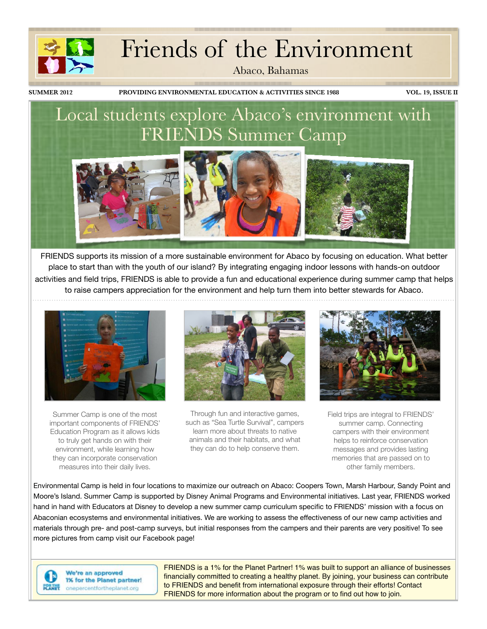# Friends of the Environment

Abaco, Bahamas

**SUMMER 2012 PROVIDING ENVIRONMENTAL EDUCATION & ACTIVITIES SINCE 1988 VOL. 19, ISSUE II**

<u> 1999 - Jan Albert Standard Standard Standard Standard Standard Standard Standard Standard Standard Standard St</u>

# Local students explore Abaco's environment with FRIENDS Summer Camp



FRIENDS supports its mission of a more sustainable environment for Abaco by focusing on education. What better place to start than with the youth of our island? By integrating engaging indoor lessons with hands-on outdoor activities and field trips, FRIENDS is able to provide a fun and educational experience during summer camp that helps to raise campers appreciation for the environment and help turn them into better stewards for Abaco.



Summer Camp is one of the most important components of FRIENDS' Education Program as it allows kids to truly get hands on with their environment, while learning how they can incorporate conservation measures into their daily lives.



Through fun and interactive games, such as "Sea Turtle Survival", campers learn more about threats to native animals and their habitats, and what they can do to help conserve them.



Field trips are integral to FRIENDS' summer camp. Connecting campers with their environment helps to reinforce conservation messages and provides lasting memories that are passed on to other family members.

Environmental Camp is held in four locations to maximize our outreach on Abaco: Coopers Town, Marsh Harbour, Sandy Point and Moore's Island. Summer Camp is supported by Disney Animal Programs and Environmental initiatives. Last year, FRIENDS worked hand in hand with Educators at Disney to develop a new summer camp curriculum specific to FRIENDS' mission with a focus on Abaconian ecosystems and environmental initiatives. We are working to assess the effectiveness of our new camp activities and materials through pre- and post-camp surveys, but initial responses from the campers and their parents are very positive! To see more pictures from camp visit our Facebook page!



We're an approved 1% for the Planet partner! onepercentfortheplanet.org

FRIENDS is a 1% for the Planet Partner! 1% was built to support an alliance of businesses financially committed to creating a healthy planet. By joining, your business can contribute to FRIENDS and benefit from international exposure through their efforts! Contact FRIENDS for more information about the program or to find out how to join.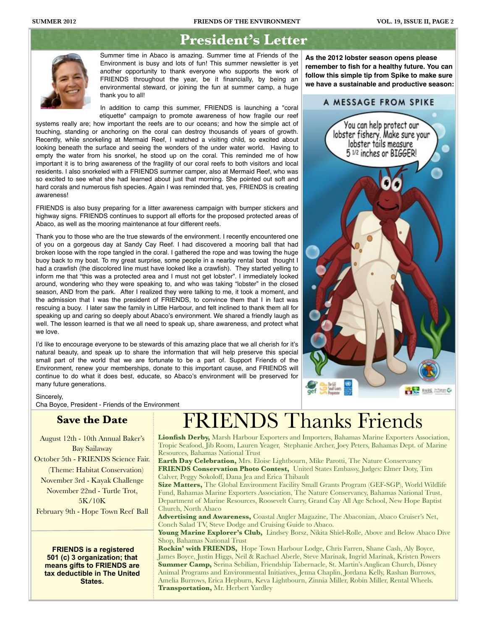## **President's Letter**



Summer time in Abaco is amazing. Summer time at Friends of the Environment is busy and lots of fun! This summer newsletter is yet another opportunity to thank everyone who supports the work of FRIENDS throughout the year, be it financially, by being an environmental steward, or joining the fun at summer camp, a huge thank you to all!

In addition to camp this summer, FRIENDS is launching a "coral etiquette" campaign to promote awareness of how fragile our reef

systems really are; how important the reefs are to our oceans; and how the simple act of touching, standing or anchoring on the coral can destroy thousands of years of growth. Recently, while snorkeling at Mermaid Reef, I watched a visiting child, so excited about looking beneath the surface and seeing the wonders of the under water world. Having to empty the water from his snorkel, he stood up on the coral. This reminded me of how important it is to bring awareness of the fragility of our coral reefs to both visitors and local residents. I also snorkeled with a FRIENDS summer camper, also at Mermaid Reef, who was so excited to see what she had learned about just that morning. She pointed out soft and hard corals and numerous fish species. Again I was reminded that, yes, FRIENDS is creating awareness!

FRIENDS is also busy preparing for a litter awareness campaign with bumper stickers and highway signs. FRIENDS continues to support all efforts for the proposed protected areas of Abaco, as well as the mooring maintenance at four different reefs.

Thank you to those who are the true stewards of the environment. I recently encountered one of you on a gorgeous day at Sandy Cay Reef. I had discovered a mooring ball that had broken loose with the rope tangled in the coral. I gathered the rope and was towing the huge buoy back to my boat. To my great surprise, some people in a nearby rental boat thought I had a crawfish (the discolored line must have looked like a crawfish). They started yelling to inform me that "this was a protected area and I must not get lobster". I immediately looked around, wondering who they were speaking to, and who was taking "lobster" in the closed season, AND from the park. After I realized they were talking to me, it took a moment, and the admission that I was the president of FRIENDS, to convince them that I in fact was rescuing a buoy. I later saw the family in Little Harbour, and felt inclined to thank them all for speaking up and caring so deeply about Abaco's environment. We shared a friendly laugh as well. The lesson learned is that we all need to speak up, share awareness, and protect what we love.

I'd like to encourage everyone to be stewards of this amazing place that we all cherish for it's natural beauty, and speak up to share the information that will help preserve this special small part of the world that we are fortunate to be a part of. Support Friends of the Environment, renew your memberships, donate to this important cause, and FRIENDS will continue to do what it does best, educate, so Abaco's environment will be preserved for many future generations.

**As the 2012 lobster season opens please remember to fish for a healthy future. You can follow this simple tip from Spike to make sure we have a sustainable and productive season:**

## A MESSAGE FROM SPIKE



### Sincerely,

Cha Boyce, President - Friends of the Environment

## **Save the Date**

August 12th - 10th Annual Baker's Bay Sailaway

October 5th - FRIENDS Science Fair. (Theme: Habitat Conservation)

November 3rd - Kayak Challenge November 22nd - Turtle Trot, 5K/10K

February 9th - Hope Town Reef Ball

 **FRIENDS is a registered 501 (c) 3 organization; that means gifts to FRIENDS are tax deductible in The United States.**

# FRIENDS Thanks Friends

**Lionfish Derby,** Marsh Harbour Exporters and Importers, Bahamas Marine Exporters Association, Tropic Seafood, Jib Room, Lauren Yeager, Stephanie Archer, Joey Peters, Bahamas Dept. of Marine Resources, Bahamas National Trust

**Earth Day Celebration,** Mrs. Eloise Lightbourn, Mike Parotti, The Nature Conservancy **FRIENDS Conservation Photo Contest,** United States Embassy, Judges: Elmer Doty, Tim Calver, Peggy Sokoloff, Dana Jea and Erica Thibault

**Size Matters,** The Global Environment Facility Small Grants Program (GEF-SGP), World Wildlife Fund, Bahamas Marine Exporters Association, The Nature Conservancy, Bahamas National Trust, Department of Marine Resources, Roosevelt Curry, Grand Cay All Age School, New Hope Baptist Church, North Abaco

**Advertising and Awareness,** Coastal Angler Magazine, The Abaconian, Abaco Cruiser's Net, Conch Salad TV, Steve Dodge and Cruising Guide to Abaco.

Young Marine Explorer's Club, Lindsey Borsz, Nikita Shiel-Rolle, Above and Below Abaco Dive Shop, Bahamas National Trust

**Rockin' with FRIENDS,** Hope Town Harbour Lodge, Chris Farren, Shane Cash, Aly Boyce, James Boyce, Justin Higgs, Neil & Rachael Aberle, Steve Marinak, Ingrid Marinak, Kristen Powers **Summer Camp,** Serina Sebilian, Friendship Tabernacle, St. Martin's Anglican Church, Disney Animal Programs and Environmental Initiatives, Jenna Chaplin, Jordana Kelly, Rashan Burrows, Amelia Burrows, Erica Hepburn, Keva Lightbourn, Zinnia Miller, Robin Miller, Rental Wheels. **Transportation,** Mr. Herbert Yardley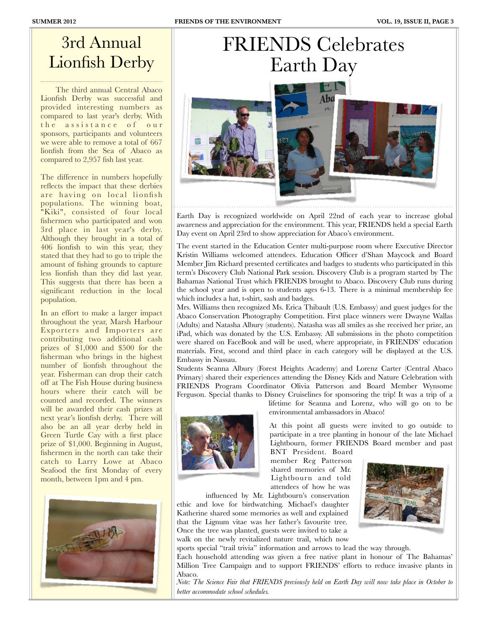# 3rd Annual Lionfish Derby

 The third annual Central Abaco Lionfish Derby was successful and provided interesting numbers as compared to last year's derby. With the assistance of our sponsors, participants and volunteers we were able to remove a total of 667 lionfish from the Sea of Abaco as compared to 2,957 fish last year.

The difference in numbers hopefully reflects the impact that these derbies are having on local lionfish populations. The winning boat, "Kiki", consisted of four local fishermen who participated and won 3rd place in last year's derby. Although they brought in a total of 406 lionfish to win this year, they stated that they had to go to triple the amount of fishing grounds to capture less lionfish than they did last year. This suggests that there has been a significant reduction in the local population.

In an effort to make a larger impact throughout the year, Marsh Harbour Exporters and Importers are contributing two additional cash prizes of \$1,000 and \$500 for the fisherman who brings in the highest number of lionfish throughout the year. Fisherman can drop their catch off at The Fish House during business hours where their catch will be counted and recorded. The winners will be awarded their cash prizes at next year's lionfish derby. There will also be an all year derby held in Green Turtle Cay with a first place prize of \$1,000. Beginning in August, fishermen in the north can take their catch to Larry Lowe at Abaco Seafood the first Monday of every month, between 1pm and 4 pm.



# FRIENDS Celebrates Earth Day Abc

Earth Day is recognized worldwide on April 22nd of each year to increase global awareness and appreciation for the environment. This year, FRIENDS held a special Earth Day event on April 23rd to show appreciation for Abaco's environment.

The event started in the Education Center multi-purpose room where Executive Director Kristin Williams welcomed attendees. Education Officer d'Shan Maycock and Board Member Jim Richard presented certificates and badges to students who participated in this term's Discovery Club National Park session. Discovery Club is a program started by The Bahamas National Trust which FRIENDS brought to Abaco. Discovery Club runs during the school year and is open to students ages 6-13. There is a minimal membership fee which includes a hat, t-shirt, sash and badges.

Mrs. Williams then recognized Ms. Erica Thibault (U.S. Embassy) and guest judges for the Abaco Conservation Photography Competition. First place winners were Dwayne Wallas (Adults) and Natasha Albury (students). Natasha was all smiles as she received her prize, an iPad, which was donated by the U.S. Embassy. All submissions in the photo competition were shared on FaceBook and will be used, where appropriate, in FRIENDS' education materials. First, second and third place in each category will be displayed at the U.S. Embassy in Nassau.

Students Seanna Albury (Forest Heights Academy) and Lorenz Carter (Central Abaco Primary) shared their experiences attending the Disney Kids and Nature Celebration with FRIENDS Program Coordinator Olivia Patterson and Board Member Wynsome Ferguson. Special thanks to Disney Cruiselines for sponsoring the trip! It was a trip of a



lifetime for Seanna and Lorenz, who will go on to be environmental ambassadors in Abaco!

At this point all guests were invited to go outside to participate in a tree planting in honour of the late Michael Lightbourn, former FRIENDS Board member and past

BNT President. Board member Reg Patterson shared memories of Mr. Lightbourn and told attendees of how he was

influenced by Mr. Lightbourn's conservation ethic and love for birdwatching. Michael's daughter Katherine shared some memories as well and explained that the Lignum vitae was her father's favourite tree. Once the tree was planted, guests were invited to take a walk on the newly revitalized nature trail, which now



sports special "trail trivia" information and arrows to lead the way through.

Each household attending was given a free native plant in honour of The Bahamas' Million Tree Campaign and to support FRIENDS' efforts to reduce invasive plants in Abaco.

*Note: The Science Fair that FRIENDS previously held on Earth Day will now take place in October to better accommodate school schedules.*